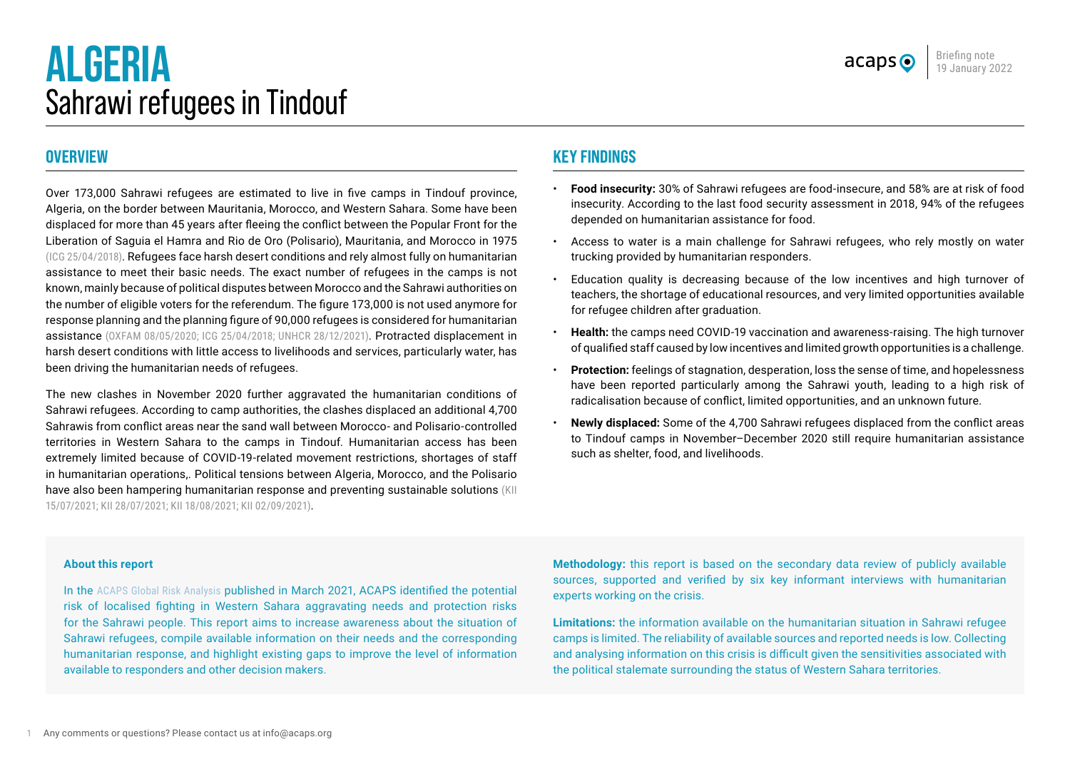# **ALGERIA** Sahrawi refugees in Tindouf



# **OVERVIEW**

Over 173,000 Sahrawi refugees are estimated to live in five camps in Tindouf province, Algeria, on the border between Mauritania, Morocco, and Western Sahara. Some have been displaced for more than 45 years after fleeing the conflict between the Popular Front for the Liberation of Saguia el Hamra and Rio de Oro (Polisario), Mauritania, and Morocco in 1975 ([ICG 25/04/2018](https://www.crisisgroup.org/middle-east-north-africa/north-africa/western-sahara/youth-movement-sahrawi-refugee-camps)). Refugees face harsh desert conditions and rely almost fully on humanitarian assistance to meet their basic needs. The exact number of refugees in the camps is not known, mainly because of political disputes between Morocco and the Sahrawi authorities on the number of eligible voters for the referendum. The figure 173,000 is not used anymore for response planning and the planning figure of 90,000 refugees is considered for humanitarian assistance ([OXFAM 08/05/2020;](https://www.oxfam.org/en/press-releases/covid-19-new-cases-confirmed-near-sahrawi-camps-173000-refugees-risk) [ICG 25/04/2018;](https://www.crisisgroup.org/middle-east-north-africa/north-africa/western-sahara/youth-movement-sahrawi-refugee-camps) UNHCR 28/12/2021). Protracted displacement in harsh desert conditions with little access to livelihoods and services, particularly water, has been driving the humanitarian needs of refugees.

The new clashes in November 2020 further aggravated the humanitarian conditions of Sahrawi refugees. According to camp authorities, the clashes displaced an additional 4,700 Sahrawis from conflict areas near the sand wall between Morocco- and Polisario-controlled territories in Western Sahara to the camps in Tindouf. Humanitarian access has been extremely limited because of COVID-19-related movement restrictions, shortages of staff in humanitarian operations,. Political tensions between Algeria, Morocco, and the Polisario have also been hampering humanitarian response and preventing sustainable solutions (KII) 15/07/2021; KII 28/07/2021; KII 18/08/2021; KII 02/09/2021).

# **KEY FINDINGS**

- **Food insecurity:** 30% of Sahrawi refugees are food-insecure, and 58% are at risk of food insecurity. According to the last food security assessment in 2018, 94% of the refugees depended on humanitarian assistance for food.
- Access to water is a main challenge for Sahrawi refugees, who rely mostly on water trucking provided by humanitarian responders.
- Education quality is decreasing because of the low incentives and high turnover of teachers, the shortage of educational resources, and very limited opportunities available for refugee children after graduation.
- **Health:** the camps need COVID-19 vaccination and awareness-raising. The high turnover of qualified staff caused by low incentives and limited growth opportunities is a challenge.
- **Protection:** feelings of stagnation, desperation, loss the sense of time, and hopelessness have been reported particularly among the Sahrawi youth, leading to a high risk of radicalisation because of conflict, limited opportunities, and an unknown future.
- **Newly displaced:** Some of the 4,700 Sahrawi refugees displaced from the conflict areas to Tindouf camps in November–December 2020 still require humanitarian assistance such as shelter, food, and livelihoods.

#### **About this report**

In the [ACAPS Global Risk Analysis](https://www.acaps.org/sites/acaps/files/products/files/20210329_acaps_global_risk_analysis_march_2021_0.pdf) published in March 2021, ACAPS identified the potential risk of localised fighting in Western Sahara aggravating needs and protection risks for the Sahrawi people. This report aims to increase awareness about the situation of Sahrawi refugees, compile available information on their needs and the corresponding humanitarian response, and highlight existing gaps to improve the level of information available to responders and other decision makers.

**Methodology:** this report is based on the secondary data review of publicly available sources, supported and verified by six key informant interviews with humanitarian experts working on the crisis.

**Limitations:** the information available on the humanitarian situation in Sahrawi refugee camps is limited. The reliability of available sources and reported needs is low. Collecting and analysing information on this crisis is difficult given the sensitivities associated with the political stalemate surrounding the status of Western Sahara territories.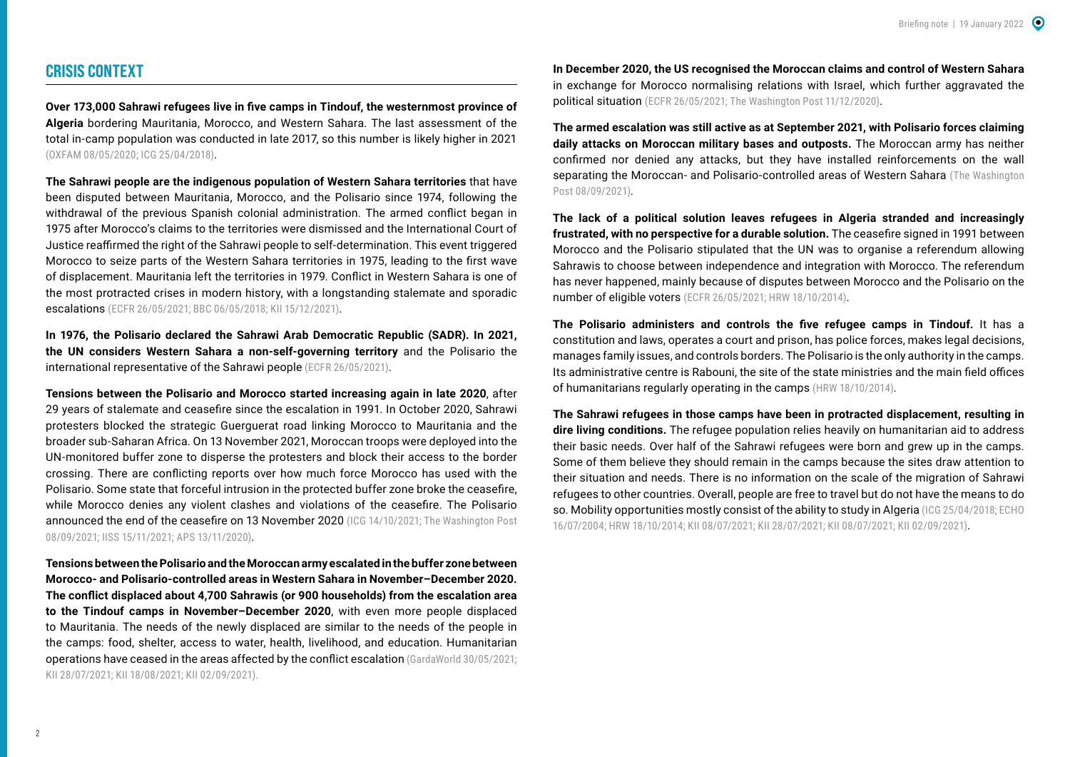## **CRISIS CONTEXT**

**Over 173,000 Sahrawi refugees live in five camps in Tindouf, the westernmost province of Algeria** bordering Mauritania, Morocco, and Western Sahara. The last assessment of the total in-camp population was conducted in late 2017, so this number is likely higher in 2021 ([OXFAM 08/05/2020;](https://www.oxfam.org/en/press-releases/covid-19-new-cases-confirmed-near-sahrawi-camps-173000-refugees-risk) [ICG 25/04/2018\)](https://www.crisisgroup.org/middle-east-north-africa/north-africa/western-sahara/youth-movement-sahrawi-refugee-camps).

**The Sahrawi people are the indigenous population of Western Sahara territories** that have been disputed between Mauritania, Morocco, and the Polisario since 1974, following the withdrawal of the previous Spanish colonial administration. The armed conflict began in 1975 after Morocco's claims to the territories were dismissed and the International Court of Justice reaffirmed the right of the Sahrawi people to self-determination. This event triggered Morocco to seize parts of the Western Sahara territories in 1975, leading to the first wave of displacement. Mauritania left the territories in 1979. Conflict in Western Sahara is one of the most protracted crises in modern history, with a longstanding stalemate and sporadic escalations ([ECFR 26/05/2021](https://reliefweb.int/sites/reliefweb.int/files/resources/Free-to-choose-A-new-plan-for-peace-in-Western-Sahara.pdf); [BBC 06/05/2018](https://www.bbc.com/arabic/middleeast-44023401); KII 15/12/2021).

**In 1976, the Polisario declared the Sahrawi Arab Democratic Republic (SADR). In 2021, the UN considers Western Sahara a non-self-governing territory** and the Polisario the international representative of the Sahrawi people ([ECFR 26/05/2021](https://reliefweb.int/sites/reliefweb.int/files/resources/Free-to-choose-A-new-plan-for-peace-in-Western-Sahara.pdf)).

**Tensions between the Polisario and Morocco started increasing again in late 2020**, after 29 years of stalemate and ceasefire since the escalation in 1991. In October 2020, Sahrawi protesters blocked the strategic Guerguerat road linking Morocco to Mauritania and the broader sub-Saharan Africa. On 13 November 2021, Moroccan troops were deployed into the UN-monitored buffer zone to disperse the protesters and block their access to the border crossing. There are conflicting reports over how much force Morocco has used with the Polisario. Some state that forceful intrusion in the protected buffer zone broke the ceasefire, while Morocco denies any violent clashes and violations of the ceasefire. The Polisario announced the end of the ceasefire on 13 November 2020 ([ICG 14/10/2021;](https://www.crisisgroup.org/middle-east-north-africa/north-africa/western-sahara/227-relaunching-negotiations-over-western-sahara) The Washington Post [08/09/2021;](http://08/09/2021) [IISS 15/11/2021](https://www.iiss.org/publications/strategic-comments/2021/the-end-of-the-ceasefire-in-western-sahara); [APS 13/11/2020](https://www.aps.dz/en/world/36501-western-sahara-moroccan-military-attack-peaceful-protesters-in-el-guerguerat)).

**Tensions between the Polisario and the Moroccan army escalated in the buffer zone between Morocco- and Polisario-controlled areas in Western Sahara in November–December 2020. The conflict displaced about 4,700 Sahrawis (or 900 households) from the escalation area to the Tindouf camps in November–December 2020**, with even more people displaced to Mauritania. The needs of the newly displaced are similar to the needs of the people in the camps: food, shelter, access to water, health, livelihood, and education. Humanitarian operations have ceased in the areas affected by the conflict escalation ([GardaWorld 30/05/2021](https://www.garda.com/crisis24/news-alerts/484976/western-sahara-tensions-between-moroccan-security-forces-and-pro-independence-polisario-front-likely-to-persist-through-late-june-update-7); KII 28/07/2021; KII 18/08/2021; KII 02/09/2021).

**In December 2020, the US recognised the Moroccan claims and control of Western Sahara**  in exchange for Morocco normalising relations with Israel, which further aggravated the political situation ([ECFR 26/05/2021;](https://reliefweb.int/sites/reliefweb.int/files/resources/Free-to-choose-A-new-plan-for-peace-in-Western-Sahara.pdf) [The Washington Post 11/12/2020](https://www.washingtonpost.com/politics/2020/12/11/us-recognized-moroccan-sovereignty-over-disputed-western-sahara-heres-what-that-means/)).

**The armed escalation was still active as at September 2021, with Polisario forces claiming daily attacks on Moroccan military bases and outposts.** The Moroccan army has neither confirmed nor denied any attacks, but they have installed reinforcements on the wall separating the Moroccan- and Polisario-controlled areas of Western Sahara (The Washington [Post 08/09/2021](https://www.washingtonpost.com/business/why-the-fight-over-western-sahara-is-heating-up-again/2021/09/08/4dfba25c-108c-11ec-baca-86b144fc8a2d_story.html)).

**The lack of a political solution leaves refugees in Algeria stranded and increasingly frustrated, with no perspective for a durable solution.** The ceasefire signed in 1991 between Morocco and the Polisario stipulated that the UN was to organise a referendum allowing Sahrawis to choose between independence and integration with Morocco. The referendum has never happened, mainly because of disputes between Morocco and the Polisario on the number of eligible voters ([ECFR 26/05/2021](https://reliefweb.int/sites/reliefweb.int/files/resources/Free-to-choose-A-new-plan-for-peace-in-Western-Sahara.pdf); [HRW 18/10/2014](https://www.hrw.org/report/2014/10/18/radar/human-rights-tindouf-refugee-camps)).

**The Polisario administers and controls the five refugee camps in Tindouf.** It has a constitution and laws, operates a court and prison, has police forces, makes legal decisions, manages family issues, and controls borders. The Polisario is the only authority in the camps. Its administrative centre is Rabouni, the site of the state ministries and the main field offices of humanitarians regularly operating in the camps ([HRW 18/10/2014\)](https://www.hrw.org/report/2014/10/18/radar/human-rights-tindouf-refugee-camps).

**The Sahrawi refugees in those camps have been in protracted displacement, resulting in dire living conditions.** The refugee population relies heavily on humanitarian aid to address their basic needs. Over half of the Sahrawi refugees were born and grew up in the camps. Some of them believe they should remain in the camps because the sites draw attention to their situation and needs. There is no information on the scale of the migration of Sahrawi refugees to other countries. Overall, people are free to travel but do not have the means to do so. Mobility opportunities mostly consist of the ability to study in Algeria ([ICG 25/04/2018;](https://www.crisisgroup.org/middle-east-north-africa/north-africa/western-sahara/youth-movement-sahrawi-refugee-camps) [ECHO](https://ec.europa.eu/echo/files/funding/decisions/2004/dec_algeria_01000_en.pdf)  [16/07/2004](https://ec.europa.eu/echo/files/funding/decisions/2004/dec_algeria_01000_en.pdf); [HRW 18/10/2014](https://www.hrw.org/report/2014/10/18/radar/human-rights-tindouf-refugee-camps); KII 08/07/2021; KII 28/07/2021; KII 08/07/2021; KII 02/09/2021).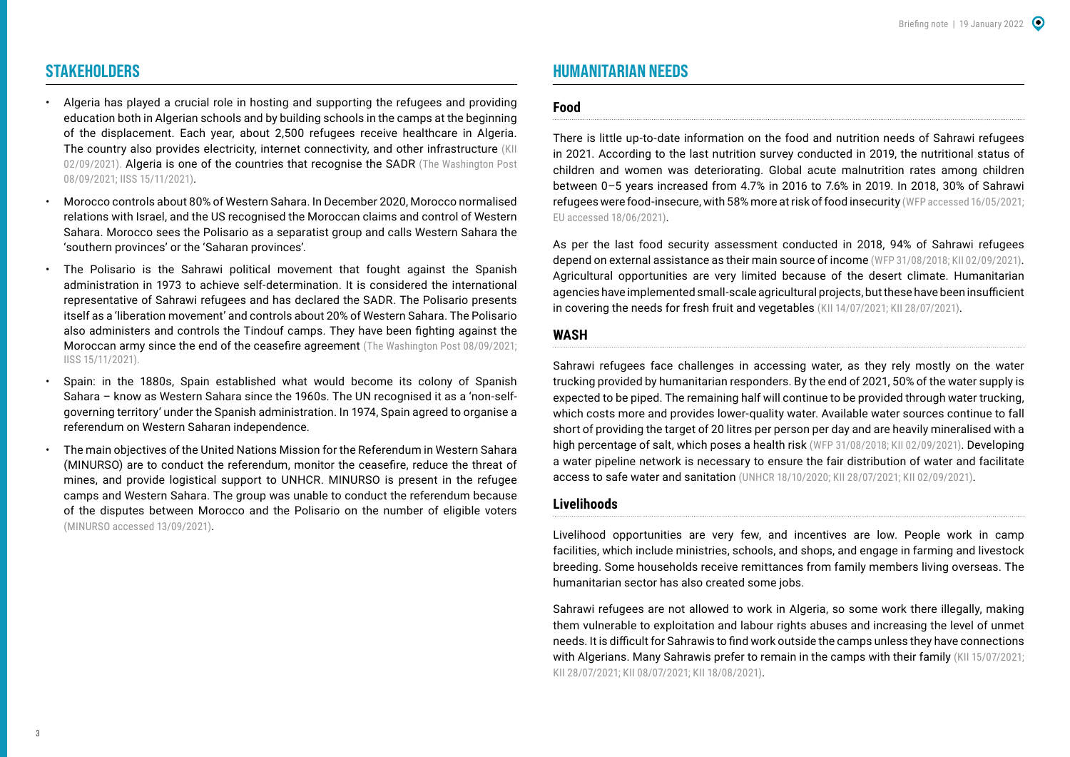## **STAKEHOLDERS**

- Algeria has played a crucial role in hosting and supporting the refugees and providing education both in Algerian schools and by building schools in the camps at the beginning of the displacement. Each year, about 2,500 refugees receive healthcare in Algeria. The country also provides electricity, internet connectivity, and other infrastructure (KII 02/09/2021). Algeria is one of the countries that recognise the SADR (The Washington Post [08/09/2021;](https://www.washingtonpost.com/business/why-the-fight-over-western-sahara-is-heating-up-again/2021/09/08/4dfba25c-108c-11ec-baca-86b144fc8a2d_story.html) [IISS 15/11/2021](https://www.iiss.org/publications/strategic-comments/2021/the-end-of-the-ceasefire-in-western-sahara)).
- Morocco controls about 80% of Western Sahara. In December 2020, Morocco normalised relations with Israel, and the US recognised the Moroccan claims and control of Western Sahara. Morocco sees the Polisario as a separatist group and calls Western Sahara the 'southern provinces' or the 'Saharan provinces'.
- The Polisario is the Sahrawi political movement that fought against the Spanish administration in 1973 to achieve self-determination. It is considered the international representative of Sahrawi refugees and has declared the SADR. The Polisario presents itself as a 'liberation movement' and controls about 20% of Western Sahara. The Polisario also administers and controls the Tindouf camps. They have been fighting against the Moroccan army since the end of the ceasefire agreement ([The Washington Post 08/09/2021](https://www.washingtonpost.com/business/why-the-fight-over-western-sahara-is-heating-up-again/2021/09/08/4dfba25c-108c-11ec-baca-86b144fc8a2d_story.html); [IISS 15/11/2021](https://www.iiss.org/publications/strategic-comments/2021/the-end-of-the-ceasefire-in-western-sahara)).
- Spain: in the 1880s, Spain established what would become its colony of Spanish Sahara – know as Western Sahara since the 1960s. The UN recognised it as a 'non-selfgoverning territory' under the Spanish administration. In 1974, Spain agreed to organise a referendum on Western Saharan independence.
- The main objectives of the United Nations Mission for the Referendum in Western Sahara (MINURSO) are to conduct the referendum, monitor the ceasefire, reduce the threat of mines, and provide logistical support to UNHCR. MINURSO is present in the refugee camps and Western Sahara. The group was unable to conduct the referendum because of the disputes between Morocco and the Polisario on the number of eligible voters ([MINURSO accessed 13/09/2021\)](https://minurso.unmissions.org/mandate).

# **HUMANITARIAN NEEDS**

#### **Food**

There is little up-to-date information on the food and nutrition needs of Sahrawi refugees in 2021. According to the last nutrition survey conducted in 2019, the nutritional status of children and women was deteriorating. Global acute malnutrition rates among children between 0–5 years increased from 4.7% in 2016 to 7.6% in 2019. In 2018, 30% of Sahrawi refugees were food-insecure, with 58% more at risk of food insecurity ([WFP accessed 16/05/2021](https://www.wfp.org/countries/algeria); [EU accessed 18/06/2021](https://ec.europa.eu/echo/where/africa/algeria_en)).

As per the last food security assessment conducted in 2018, 94% of Sahrawi refugees depend on external assistance as their main source of income ([WFP 31/08/2018;](https://docs.wfp.org/api/documents/WFP-0000103413/download/) KII 02/09/2021). Agricultural opportunities are very limited because of the desert climate. Humanitarian agencies have implemented small-scale agricultural projects, but these have been insufficient in covering the needs for fresh fruit and vegetables (KII 14/07/2021; KII 28/07/2021).

#### **WASH**

Sahrawi refugees face challenges in accessing water, as they rely mostly on the water trucking provided by humanitarian responders. By the end of 2021, 50% of the water supply is expected to be piped. The remaining half will continue to be provided through water trucking, which costs more and provides lower-quality water. Available water sources continue to fall short of providing the target of 20 litres per person per day and are heavily mineralised with a high percentage of salt, which poses a health risk ([WFP 31/08/2018;](https://docs.wfp.org/api/documents/WFP-0000103413/download/) KII 02/09/2021). Developing a water pipeline network is necessary to ensure the fair distribution of water and facilitate access to safe water and sanitation ([UNHCR 18/10/2020;](https://reliefweb.int/sites/reliefweb.int/files/resources/UNHCR%20Press%20Release%20%28ENG%29%2018%20October%202020.pdf) KII 28/07/2021; KII 02/09/2021).

#### **Livelihoods**

Livelihood opportunities are very few, and incentives are low. People work in camp facilities, which include ministries, schools, and shops, and engage in farming and livestock breeding. Some households receive remittances from family members living overseas. The humanitarian sector has also created some jobs.

Sahrawi refugees are not allowed to work in Algeria, so some work there illegally, making them vulnerable to exploitation and labour rights abuses and increasing the level of unmet needs. It is difficult for Sahrawis to find work outside the camps unless they have connections with Algerians. Many Sahrawis prefer to remain in the camps with their family (KII 15/07/2021; KII 28/07/2021; KII 08/07/2021; KII 18/08/2021).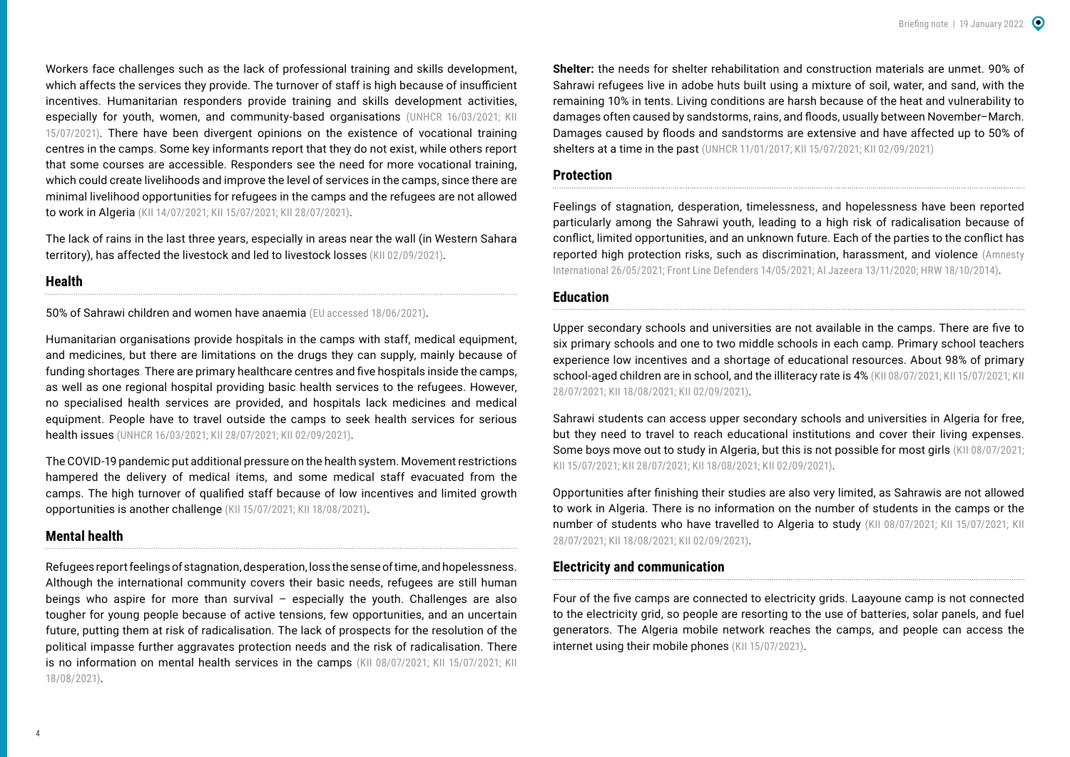Workers face challenges such as the lack of professional training and skills development, which affects the services they provide. The turnover of staff is high because of insufficient incentives. Humanitarian responders provide training and skills development activities, especially for youth, women, and community-based organisations ([UNHCR 16/03/2021;](https://reporting.unhcr.org/sites/default/files/Algeria%20fact%20sheet%20March%202021.pdf) KII 15/07/2021). There have been divergent opinions on the existence of vocational training centres in the camps. Some key informants report that they do not exist, while others report that some courses are accessible. Responders see the need for more vocational training, which could create livelihoods and improve the level of services in the camps, since there are minimal livelihood opportunities for refugees in the camps and the refugees are not allowed to work in Algeria (KII 14/07/2021; KII 15/07/2021; KII 28/07/2021).

The lack of rains in the last three years, especially in areas near the wall (in Western Sahara territory), has affected the livestock and led to livestock losses (KII 02/09/2021).

#### **Health**

50% of Sahrawi children and women have anaemia [\(EU accessed 18/06/2021](https://ec.europa.eu/echo/where/africa/algeria_en)).

Humanitarian organisations provide hospitals in the camps with staff, medical equipment, and medicines, but there are limitations on the drugs they can supply, mainly because of funding shortages. There are primary healthcare centres and five hospitals inside the camps, as well as one regional hospital providing basic health services to the refugees. However, no specialised health services are provided, and hospitals lack medicines and medical equipment. People have to travel outside the camps to seek health services for serious health issues ([UNHCR 16/03/2021](https://reporting.unhcr.org/sites/default/files/Algeria%20fact%20sheet%20March%202021.pdf); KII 28/07/2021; KII 02/09/2021).

The COVID-19 pandemic put additional pressure on the health system. Movement restrictions hampered the delivery of medical items, and some medical staff evacuated from the camps. The high turnover of qualified staff because of low incentives and limited growth opportunities is another challenge (KII 15/07/2021; KII 18/08/2021).

### **Mental health**

Refugees report feelings of stagnation, desperation, loss the sense of time, and hopelessness. Although the international community covers their basic needs, refugees are still human beings who aspire for more than survival – especially the youth. Challenges are also tougher for young people because of active tensions, few opportunities, and an uncertain future, putting them at risk of radicalisation. The lack of prospects for the resolution of the political impasse further aggravates protection needs and the risk of radicalisation. There is no information on mental health services in the camps (KII 08/07/2021; KII 15/07/2021; KII 18/08/2021).

**Shelter:** the needs for shelter rehabilitation and construction materials are unmet. 90% of Sahrawi refugees live in adobe huts built using a mixture of soil, water, and sand, with the remaining 10% in tents. Living conditions are harsh because of the heat and vulnerability to damages often caused by sandstorms, rains, and floods, usually between November–March. Damages caused by floods and sandstorms are extensive and have affected up to 50% of shelters at a time in the past ([UNHCR 11/01/2017;](https://www.unhcr.org/news/latest/2017/1/5874c2dd4/bottled-sand-builds-better-homes-sahrawi-refugees.html) KII 15/07/2021; KII 02/09/2021)

#### **Protection**

Feelings of stagnation, desperation, timelessness, and hopelessness have been reported particularly among the Sahrawi youth, leading to a high risk of radicalisation because of conflict, limited opportunities, and an unknown future. Each of the parties to the conflict has reported high protection risks, such as discrimination, harassment, and violence ([Amnesty](https://www.amnesty.org/en/documents/mde29/4198/2021/en/)  [International 26/05/2021](https://www.amnesty.org/en/documents/mde29/4198/2021/en/); [Front Line Defenders 14/05/2021](https://www.frontlinedefenders.org/en/case/woman-human-rights-defender-sultana-khaya-was-sexually-assaulted); [Al Jazeera 13/11/2020;](https://www.aljazeera.com/news/2020/11/13/morocco-launches-operation-in-western-sahara-border-zone) [HRW 18/10/2014\)](https://www.hrw.org/news/2014/10/18/western-sahara/algeria-refugees-face-curbs-rights).

#### **Education**

Upper secondary schools and universities are not available in the camps. There are five to six primary schools and one to two middle schools in each camp. Primary school teachers experience low incentives and a shortage of educational resources. About 98% of primary school-aged children are in school, and the illiteracy rate is 4% (KII 08/07/2021; KII 15/07/2021; KII 28/07/2021; KII 18/08/2021; KII 02/09/2021).

Sahrawi students can access upper secondary schools and universities in Algeria for free, but they need to travel to reach educational institutions and cover their living expenses. Some boys move out to study in Algeria, but this is not possible for most girls (KII 08/07/2021; KII 15/07/2021; KII 28/07/2021; KII 18/08/2021; KII 02/09/2021).

Opportunities after finishing their studies are also very limited, as Sahrawis are not allowed to work in Algeria. There is no information on the number of students in the camps or the number of students who have travelled to Algeria to study (KII 08/07/2021; KII 15/07/2021; KII 28/07/2021; KII 18/08/2021; KII 02/09/2021).

#### **Electricity and communication**

Four of the five camps are connected to electricity grids. Laayoune camp is not connected to the electricity grid, so people are resorting to the use of batteries, solar panels, and fuel generators. The Algeria mobile network reaches the camps, and people can access the internet using their mobile phones (KII 15/07/2021).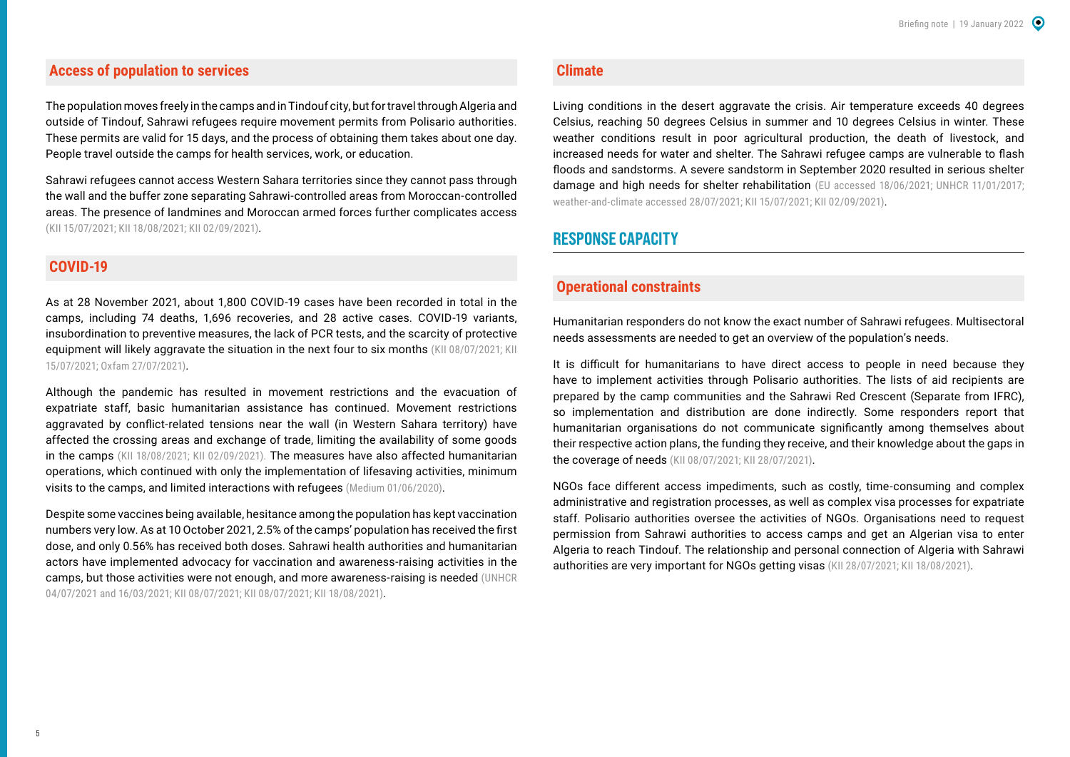## **Access of population to services**

The population moves freely in the camps and in Tindouf city, but for travel through Algeria and outside of Tindouf, Sahrawi refugees require movement permits from Polisario authorities. These permits are valid for 15 days, and the process of obtaining them takes about one day. People travel outside the camps for health services, work, or education.

Sahrawi refugees cannot access Western Sahara territories since they cannot pass through the wall and the buffer zone separating Sahrawi-controlled areas from Moroccan-controlled areas. The presence of landmines and Moroccan armed forces further complicates access (KII 15/07/2021; KII 18/08/2021; KII 02/09/2021).

## **COVID-19**

As at 28 November 2021, about 1,800 COVID-19 cases have been recorded in total in the camps, including 74 deaths, 1,696 recoveries, and 28 active cases. COVID-19 variants, insubordination to preventive measures, the lack of PCR tests, and the scarcity of protective equipment will likely aggravate the situation in the next four to six months (KII 08/07/2021; KII 15/07/2021; [Oxfam 27/07/2021](https://www.oxfam.org/fr/node/13673)).

Although the pandemic has resulted in movement restrictions and the evacuation of expatriate staff, basic humanitarian assistance has continued. Movement restrictions aggravated by conflict-related tensions near the wall (in Western Sahara territory) have affected the crossing areas and exchange of trade, limiting the availability of some goods in the camps (KII 18/08/2021; KII 02/09/2021). The measures have also affected humanitarian operations, which continued with only the implementation of lifesaving activities, minimum visits to the camps, and limited interactions with refugees ([Medium 01/06/2020](https://medium.com/world-food-programme-insight/6-things-to-know-about-the-covid-19-response-in-the-tindouf-refugee-camps-47ae3582b971)).

Despite some vaccines being available, hesitance among the population has kept vaccination numbers very low. As at 10 October 2021, 2.5% of the camps' population has received the first dose, and only 0.56% has received both doses. Sahrawi health authorities and humanitarian actors have implemented advocacy for vaccination and awareness-raising activities in the camps, but those activities were not enough, and more awareness-raising is needed [\(UNHCR](https://reporting.unhcr.org/sites/default/files/MENA%20COVID-19%20Emergency%20Response%2031%20May%202021.pdf)  [04/07/2021](https://reporting.unhcr.org/sites/default/files/MENA%20COVID-19%20Emergency%20Response%2031%20May%202021.pdf) and [16/03/2021](https://reporting.unhcr.org/sites/default/files/Algeria%20fact%20sheet%20March%202021.pdf); KII 08/07/2021; KII 08/07/2021; KII 18/08/2021).

#### **Climate**

Living conditions in the desert aggravate the crisis. Air temperature exceeds 40 degrees Celsius, reaching 50 degrees Celsius in summer and 10 degrees Celsius in winter. These weather conditions result in poor agricultural production, the death of livestock, and increased needs for water and shelter. The Sahrawi refugee camps are vulnerable to flash floods and sandstorms. A severe sandstorm in September 2020 resulted in serious shelter damage and high needs for shelter rehabilitation ([EU accessed 18/06/2021;](https://ec.europa.eu/echo/where/africa/algeria_en) UNHCR 11/01/2017; [weather-and-climate accessed 28/07/2021;](https://weather-and-climate.com/average-monthly-min-max-Temperature,Tindouf,Algeria) KII 15/07/2021; KII 02/09/2021).

# **RESPONSE CAPACITY**

## **Operational constraints**

Humanitarian responders do not know the exact number of Sahrawi refugees. Multisectoral needs assessments are needed to get an overview of the population's needs.

It is difficult for humanitarians to have direct access to people in need because they have to implement activities through Polisario authorities. The lists of aid recipients are prepared by the camp communities and the Sahrawi Red Crescent (Separate from IFRC), so implementation and distribution are done indirectly. Some responders report that humanitarian organisations do not communicate significantly among themselves about their respective action plans, the funding they receive, and their knowledge about the gaps in the coverage of needs (KII 08/07/2021; KII 28/07/2021).

NGOs face different access impediments, such as costly, time-consuming and complex administrative and registration processes, as well as complex visa processes for expatriate staff. Polisario authorities oversee the activities of NGOs. Organisations need to request permission from Sahrawi authorities to access camps and get an Algerian visa to enter Algeria to reach Tindouf. The relationship and personal connection of Algeria with Sahrawi authorities are very important for NGOs getting visas (KII 28/07/2021; KII 18/08/2021).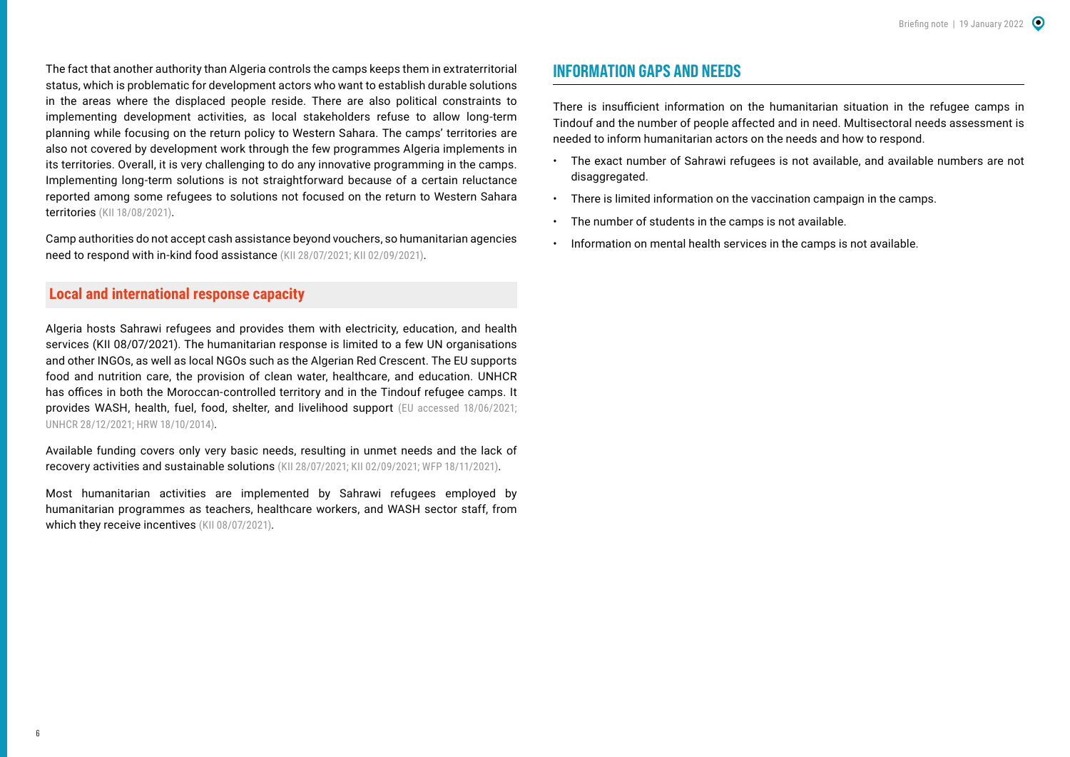The fact that another authority than Algeria controls the camps keeps them in extraterritorial status, which is problematic for development actors who want to establish durable solutions in the areas where the displaced people reside. There are also political constraints to implementing development activities, as local stakeholders refuse to allow long-term planning while focusing on the return policy to Western Sahara. The camps' territories are also not covered by development work through the few programmes Algeria implements in its territories. Overall, it is very challenging to do any innovative programming in the camps. Implementing long-term solutions is not straightforward because of a certain reluctance reported among some refugees to solutions not focused on the return to Western Sahara territories (KII 18/08/2021).

Camp authorities do not accept cash assistance beyond vouchers, so humanitarian agencies need to respond with in-kind food assistance (KII 28/07/2021; KII 02/09/2021).

## **Local and international response capacity**

Algeria hosts Sahrawi refugees and provides them with electricity, education, and health services (KII 08/07/2021). The humanitarian response is limited to a few UN organisations and other INGOs, as well as local NGOs such as the Algerian Red Crescent. The EU supports food and nutrition care, the provision of clean water, healthcare, and education. UNHCR has offices in both the Moroccan-controlled territory and in the Tindouf refugee camps. It provides WASH, health, fuel, food, shelter, and livelihood support ([EU accessed 18/06/2021;](https://ec.europa.eu/echo/where/africa/algeria_en)  UNHCR 28/12/2021; [HRW 18/10/2014\)](https://www.hrw.org/report/2014/10/18/radar/human-rights-tindouf-refugee-camps).

Available funding covers only very basic needs, resulting in unmet needs and the lack of recovery activities and sustainable solutions (KII 28/07/2021; KII 02/09/2021; [WFP 18/11/2021](https://docs.wfp.org/api/documents/WFP-0000133911/download/?_ga=2.214154064.695571587.1638699002-1055148596.1621182018)).

Most humanitarian activities are implemented by Sahrawi refugees employed by humanitarian programmes as teachers, healthcare workers, and WASH sector staff, from which they receive incentives (KII 08/07/2021).

## **INFORMATION GAPS AND NEEDS**

There is insufficient information on the humanitarian situation in the refugee camps in Tindouf and the number of people affected and in need. Multisectoral needs assessment is needed to inform humanitarian actors on the needs and how to respond.

- The exact number of Sahrawi refugees is not available, and available numbers are not disaggregated.
- There is limited information on the vaccination campaign in the camps.
- The number of students in the camps is not available.
- Information on mental health services in the camps is not available.